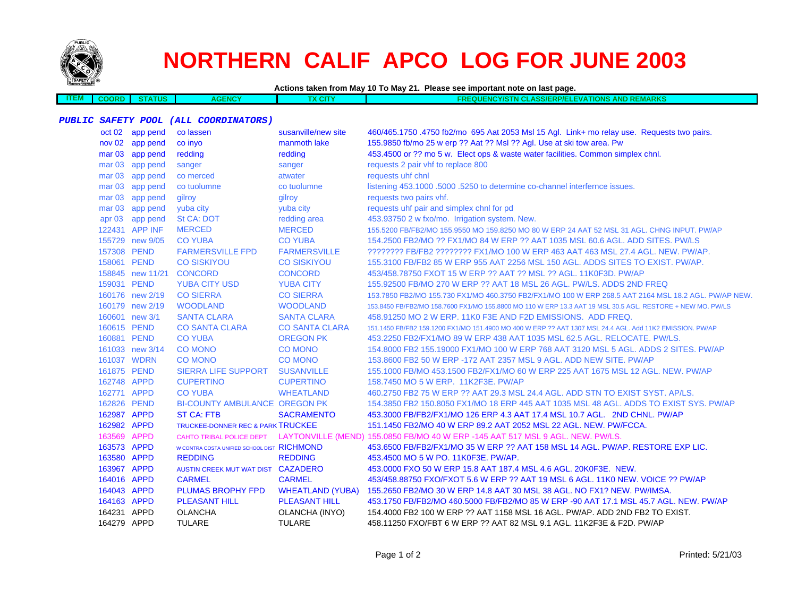

**ITEM**

## **NORTHERN CALIF APCO LOG FOR JUNE 2003**

**Actions taken from May 10 To May 21. Please see important note on last page.**

 **COORD STATUSAGENCY TX CITY FREQUENCY/STN CLASS/ERP/ELEVATIONS AND REMARKS**

## **PUBLIC SAFETY POOL (ALL COORDINATORS)**

|             | oct 02 app pend  | co lassen                                   | susanville/new site     | 460/465.1750 .4750 fb2/mo 695 Aat 2053 Msl 15 Agl. Link+ mo relay use. Requests two pairs.                 |
|-------------|------------------|---------------------------------------------|-------------------------|------------------------------------------------------------------------------------------------------------|
|             | nov 02 app pend  | co inyo                                     | manmoth lake            | 155.9850 fb/mo 25 w erp ?? Aat ?? Msl ?? Agl. Use at ski tow area. Pw                                      |
|             | mar 03 app pend  | redding                                     | redding                 | 453.4500 or ?? mo 5 w. Elect ops & waste water facilities. Common simplex chnl.                            |
|             | mar 03 app pend  | sanger                                      | sanger                  | requests 2 pair vhf to replace 800                                                                         |
|             | mar 03 app pend  | co merced                                   | atwater                 | requests uhf chnl                                                                                          |
|             | mar 03 app pend  | co tuolumne                                 | co tuolumne             | listening 453.1000 .5000 .5250 to determine co-channel interfernce issues.                                 |
|             | mar 03 app pend  | gilroy                                      | gilroy                  | requests two pairs vhf.                                                                                    |
|             | mar 03 app pend  | yuba city                                   | yuba city               | requests uhf pair and simplex chnl for pd                                                                  |
|             | apr 03 app pend  | St CA: DOT                                  | redding area            | 453.93750 2 w fxo/mo. Irrigation system. New.                                                              |
|             | 122431 APP INF   | <b>MERCED</b>                               | <b>MERCED</b>           | 155.5200 FB/FB2/MO 155.9550 MO 159.8250 MO 80 W ERP 24 AAT 52 MSL 31 AGL. CHNG INPUT. PW/AP                |
|             | 155729 new 9/05  | <b>CO YUBA</b>                              | <b>CO YUBA</b>          | 154,2500 FB2/MO ?? FX1/MO 84 W ERP ?? AAT 1035 MSL 60.6 AGL, ADD SITES, PW/LS                              |
|             | 157308 PEND      | <b>FARMERSVILLE FPD</b>                     | <b>FARMERSVILLE</b>     | ???????? FB/FB2 ???????? FX1/MO 100 W ERP 463 AAT 463 MSL 27.4 AGL. NEW. PW/AP.                            |
|             | 158061 PEND      | <b>CO SISKIYOU</b>                          | <b>CO SISKIYOU</b>      | 155.3100 FB/FB2 85 W ERP 955 AAT 2256 MSL 150 AGL. ADDS SITES TO EXIST. PW/AP.                             |
|             | 158845 new 11/21 | <b>CONCORD</b>                              | <b>CONCORD</b>          | 453/458.78750 FXOT 15 W ERP ?? AAT ?? MSL ?? AGL. 11K0F3D. PW/AP                                           |
|             | 159031 PEND      | <b>YUBA CITY USD</b>                        | <b>YUBA CITY</b>        | 155.92500 FB/MO 270 W ERP ?? AAT 18 MSL 26 AGL. PW/LS. ADDS 2ND FREQ                                       |
|             | 160176 new 2/19  | <b>CO SIERRA</b>                            | <b>CO SIERRA</b>        | 153.7850 FB2/MO 155.730 FX1/MO 460.3750 FB2/FX1/MO 100 W ERP 268.5 AAT 2164 MSL 18.2 AGL. PW/AP NEW.       |
|             | 160179 new 2/19  | <b>WOODLAND</b>                             | <b>WOODLAND</b>         | 153.8450 FB/FB2/MO 158.7600 FX1/MO 155.8800 MO 110 W ERP 13.3 AAT 19 MSL 30.5 AGL, RESTORE + NEW MO, PW/LS |
|             | 160601 new 3/1   | <b>SANTA CLARA</b>                          | <b>SANTA CLARA</b>      | 458,91250 MO 2 W ERP, 11K0 F3E AND F2D EMISSIONS. ADD FREQ.                                                |
|             | 160615 PEND      | <b>CO SANTA CLARA</b>                       | <b>CO SANTA CLARA</b>   | 151.1450 FB/FB2 159.1200 FX1/MO 151.4900 MO 400 W ERP ?? AAT 1307 MSL 24.4 AGL. Add 11K2 EMISSION. PW/AP   |
|             | 160881 PEND      | <b>CO YUBA</b>                              | <b>OREGON PK</b>        | 453.2250 FB2/FX1/MO 89 W ERP 438 AAT 1035 MSL 62.5 AGL. RELOCATE. PW/LS.                                   |
|             | 161033 new 3/14  | <b>CO MONO</b>                              | <b>CO MONO</b>          | 154,8000 FB2 155,19000 FX1/MO 100 W ERP 768 AAT 3120 MSL 5 AGL, ADDS 2 SITES, PW/AP                        |
|             | 161037 WDRN      | <b>CO MONO</b>                              | <b>CO MONO</b>          | 153,8600 FB2 50 W ERP -172 AAT 2357 MSL 9 AGL, ADD NEW SITE, PW/AP                                         |
|             | 161875 PEND      | <b>SIERRA LIFE SUPPORT</b>                  | <b>SUSANVILLE</b>       | 155.1000 FB/MO 453.1500 FB2/FX1/MO 60 W ERP 225 AAT 1675 MSL 12 AGL. NEW. PW/AP                            |
|             | 162748 APPD      | <b>CUPERTINO</b>                            | <b>CUPERTINO</b>        | 158.7450 MO 5 W ERP. 11K2F3E. PW/AP                                                                        |
|             | 162771 APPD      | <b>CO YUBA</b>                              | <b>WHEATLAND</b>        | 460.2750 FB2 75 W ERP ?? AAT 29.3 MSL 24.4 AGL, ADD STN TO EXIST SYST, AP/LS.                              |
|             | 162826 PEND      | <b>BI-COUNTY AMBULANCE OREGON PK</b>        |                         | 154,3850 FB2 150,8050 FX1/MO 18 ERP 445 AAT 1035 MSL 48 AGL. ADDS TO EXIST SYS, PW/AP                      |
| 162987 APPD |                  | <b>ST CA: FTB</b>                           | <b>SACRAMENTO</b>       | 453.3000 FB/FB2/FX1/MO 126 ERP 4.3 AAT 17.4 MSL 10.7 AGL. 2ND CHNL. PW/AP                                  |
| 162982 APPD |                  | TRUCKEE-DONNER REC & PARK TRUCKEE           |                         | 151.1450 FB2/MO 40 W ERP 89.2 AAT 2052 MSL 22 AGL. NEW. PW/FCCA.                                           |
| 163569 APPD |                  | CAHTO TRIBAL POLICE DEPT                    |                         | LAYTONVILLE (MEND) 155.0850 FB/MO 40 W ERP -145 AAT 517 MSL 9 AGL. NEW. PW/LS.                             |
| 163573 APPD |                  | W CONTRA COSTA UNIFIED SCHOOL DIST RICHMOND |                         | 453,6500 FB/FB2/FX1/MO 35 W ERP ?? AAT 158 MSL 14 AGL, PW/AP, RESTORE EXP LIC.                             |
| 163580 APPD |                  | <b>REDDING</b>                              | <b>REDDING</b>          | 453.4500 MO 5 W PO. 11K0F3E. PW/AP.                                                                        |
| 163967 APPD |                  | AUSTIN CREEK MUT WAT DIST CAZADERO          |                         | 453.0000 FXO 50 W ERP 15.8 AAT 187.4 MSL 4.6 AGL. 20K0F3E. NEW.                                            |
| 164016 APPD |                  | <b>CARMEL</b>                               | <b>CARMEL</b>           | 453/458.88750 FXO/FXOT 5.6 W ERP ?? AAT 19 MSL 6 AGL. 11K0 NEW. VOICE ?? PW/AP                             |
| 164043 APPD |                  | PLUMAS BROPHY FPD                           | <b>WHEATLAND (YUBA)</b> | 155.2650 FB2/MO 30 W ERP 14.8 AAT 30 MSL 38 AGL. NO FX1? NEW. PW/IMSA.                                     |
| 164163 APPD |                  | <b>PLEASANT HILL</b>                        | <b>PLEASANT HILL</b>    | 453.1750 FB/FB2/MO 460.5000 FB/FB2/MO 85 W ERP -90 AAT 17.1 MSL 45.7 AGL. NEW. PW/AP                       |
| 164231 APPD |                  | <b>OLANCHA</b>                              | OLANCHA (INYO)          | 154.4000 FB2 100 W ERP ?? AAT 1158 MSL 16 AGL. PW/AP. ADD 2ND FB2 TO EXIST.                                |
| 164279 APPD |                  | <b>TULARE</b>                               | <b>TULARE</b>           | 458.11250 FXO/FBT 6 W ERP ?? AAT 82 MSL 9.1 AGL, 11K2F3E & F2D, PW/AP                                      |